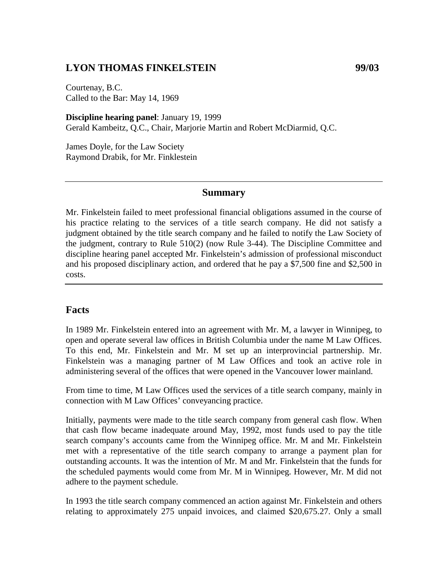# **LYON THOMAS FINKELSTEIN 99/03**

Courtenay, B.C. Called to the Bar: May 14, 1969

**Discipline hearing panel**: January 19, 1999 Gerald Kambeitz, Q.C., Chair, Marjorie Martin and Robert McDiarmid, Q.C.

James Doyle, for the Law Society Raymond Drabik, for Mr. Finklestein

#### **Summary**

Mr. Finkelstein failed to meet professional financial obligations assumed in the course of his practice relating to the services of a title search company. He did not satisfy a judgment obtained by the title search company and he failed to notify the Law Society of the judgment, contrary to Rule 510(2) (now Rule 3-44). The Discipline Committee and discipline hearing panel accepted Mr. Finkelstein's admission of professional misconduct and his proposed disciplinary action, and ordered that he pay a \$7,500 fine and \$2,500 in costs.

### **Facts**

In 1989 Mr. Finkelstein entered into an agreement with Mr. M, a lawyer in Winnipeg, to open and operate several law offices in British Columbia under the name M Law Offices. To this end, Mr. Finkelstein and Mr. M set up an interprovincial partnership. Mr. Finkelstein was a managing partner of M Law Offices and took an active role in administering several of the offices that were opened in the Vancouver lower mainland.

From time to time, M Law Offices used the services of a title search company, mainly in connection with M Law Offices' conveyancing practice.

Initially, payments were made to the title search company from general cash flow. When that cash flow became inadequate around May, 1992, most funds used to pay the title search company's accounts came from the Winnipeg office. Mr. M and Mr. Finkelstein met with a representative of the title search company to arrange a payment plan for outstanding accounts. It was the intention of Mr. M and Mr. Finkelstein that the funds for the scheduled payments would come from Mr. M in Winnipeg. However, Mr. M did not adhere to the payment schedule.

In 1993 the title search company commenced an action against Mr. Finkelstein and others relating to approximately 275 unpaid invoices, and claimed \$20,675.27. Only a small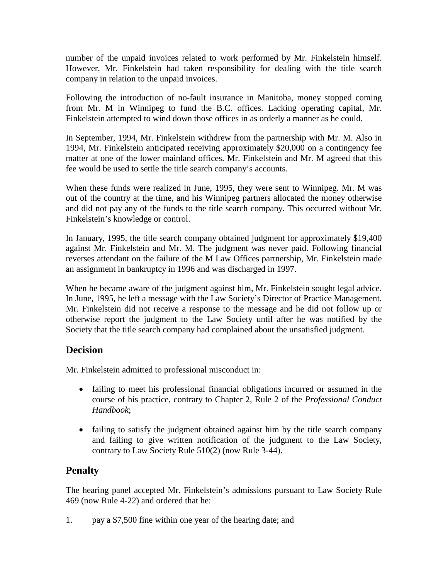number of the unpaid invoices related to work performed by Mr. Finkelstein himself. However, Mr. Finkelstein had taken responsibility for dealing with the title search company in relation to the unpaid invoices.

Following the introduction of no-fault insurance in Manitoba, money stopped coming from Mr. M in Winnipeg to fund the B.C. offices. Lacking operating capital, Mr. Finkelstein attempted to wind down those offices in as orderly a manner as he could.

In September, 1994, Mr. Finkelstein withdrew from the partnership with Mr. M. Also in 1994, Mr. Finkelstein anticipated receiving approximately \$20,000 on a contingency fee matter at one of the lower mainland offices. Mr. Finkelstein and Mr. M agreed that this fee would be used to settle the title search company's accounts.

When these funds were realized in June, 1995, they were sent to Winnipeg. Mr. M was out of the country at the time, and his Winnipeg partners allocated the money otherwise and did not pay any of the funds to the title search company. This occurred without Mr. Finkelstein's knowledge or control.

In January, 1995, the title search company obtained judgment for approximately \$19,400 against Mr. Finkelstein and Mr. M. The judgment was never paid. Following financial reverses attendant on the failure of the M Law Offices partnership, Mr. Finkelstein made an assignment in bankruptcy in 1996 and was discharged in 1997.

When he became aware of the judgment against him, Mr. Finkelstein sought legal advice. In June, 1995, he left a message with the Law Society's Director of Practice Management. Mr. Finkelstein did not receive a response to the message and he did not follow up or otherwise report the judgment to the Law Society until after he was notified by the Society that the title search company had complained about the unsatisfied judgment.

# **Decision**

Mr. Finkelstein admitted to professional misconduct in:

- failing to meet his professional financial obligations incurred or assumed in the course of his practice, contrary to Chapter 2, Rule 2 of the *Professional Conduct Handbook*;
- failing to satisfy the judgment obtained against him by the title search company and failing to give written notification of the judgment to the Law Society, contrary to Law Society Rule 510(2) (now Rule 3-44).

# **Penalty**

The hearing panel accepted Mr. Finkelstein's admissions pursuant to Law Society Rule 469 (now Rule 4-22) and ordered that he:

1. pay a \$7,500 fine within one year of the hearing date; and